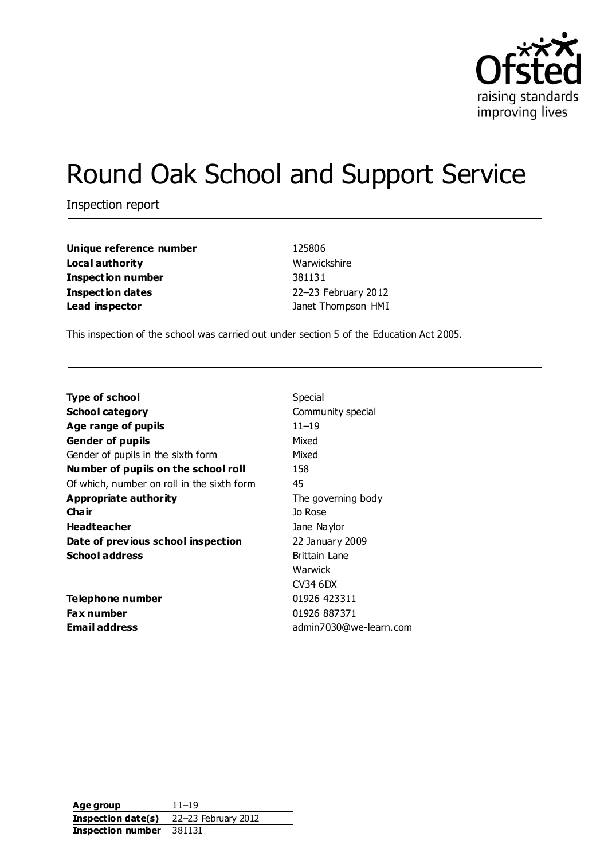

# Round Oak School and Support Service

Inspection report

**Unique reference number** 125806 **Local authority** Warwickshire **Inspection number** 381131 **Inspection dates** 22–23 February 2012 **Lead inspector** Janet Thompson HMI

This inspection of the school was carried out under section 5 of the Education Act 2005.

| <b>Type of school</b>                      | Special                |  |  |
|--------------------------------------------|------------------------|--|--|
| School category                            | Community special      |  |  |
| Age range of pupils                        | $11 - 19$              |  |  |
| <b>Gender of pupils</b>                    | Mixed                  |  |  |
| Gender of pupils in the sixth form         | Mixed                  |  |  |
| Number of pupils on the school roll        | 158                    |  |  |
| Of which, number on roll in the sixth form | 45                     |  |  |
| Appropriate authority                      | The governing body     |  |  |
| Cha ir                                     | Jo Rose                |  |  |
| <b>Headteacher</b>                         | Jane Naylor            |  |  |
| Date of previous school inspection         | 22 January 2009        |  |  |
| <b>School address</b>                      | <b>Brittain Lane</b>   |  |  |
|                                            | Warwick                |  |  |
|                                            | CV34 6DX               |  |  |
| Telephone number                           | 01926 423311           |  |  |
| Fax number                                 | 01926 887371           |  |  |
| <b>Email address</b>                       | admin7030@we-learn.com |  |  |
|                                            |                        |  |  |

**Age group** 11–19 **Inspection date(s)** 22–23 February 2012 **Inspection number** 381131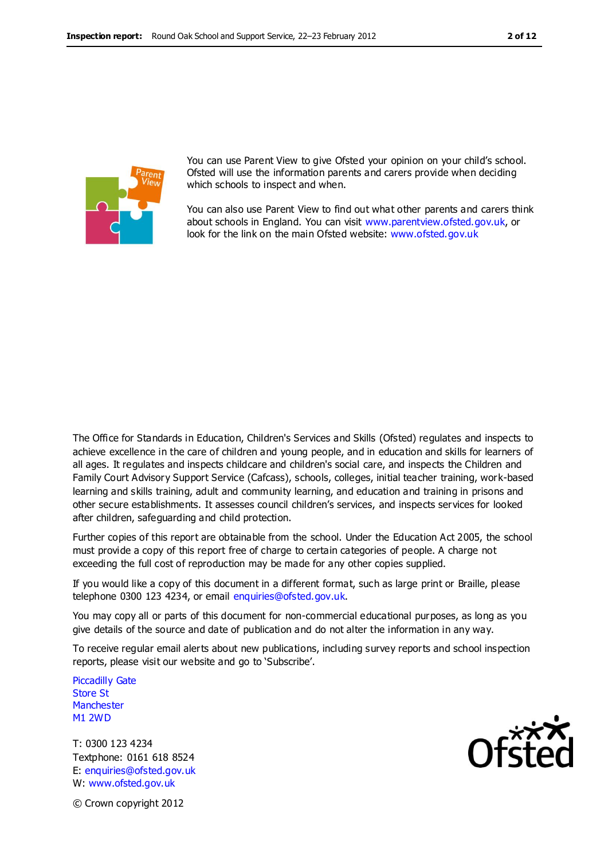

You can use Parent View to give Ofsted your opinion on your child's school. Ofsted will use the information parents and carers provide when deciding which schools to inspect and when.

You can also use Parent View to find out what other parents and carers think about schools in England. You can visit [www.parentview.ofsted.gov.uk,](http://www.parentview.ofsted.gov.uk/) or look for the link on the main Ofsted website: [www.ofsted.gov.uk](http://www.ofsted.gov.uk/)

The Office for Standards in Education, Children's Services and Skills (Ofsted) regulates and inspects to achieve excellence in the care of children and young people, and in education and skills for learners of all ages. It regulates and inspects childcare and children's social care, and inspects the Children and Family Court Advisory Support Service (Cafcass), schools, colleges, initial teacher training, work-based learning and skills training, adult and community learning, and education and training in prisons and other secure establishments. It assesses council children's services, and inspects services for looked after children, safeguarding and child protection.

Further copies of this report are obtainable from the school. Under the Education Act 2005, the school must provide a copy of this report free of charge to certain categories of people. A charge not exceeding the full cost of reproduction may be made for any other copies supplied.

If you would like a copy of this document in a different format, such as large print or Braille, please telephone 0300 123 4234, or email enquiries@ofsted.gov.uk.

You may copy all or parts of this document for non-commercial educational purposes, as long as you give details of the source and date of publication and do not alter the information in any way.

To receive regular email alerts about new publications, including survey reports and school inspection reports, please visit our website and go to 'Subscribe'.

Piccadilly Gate Store St **Manchester** M1 2WD

T: 0300 123 4234 Textphone: 0161 618 8524 E: enquiries@ofsted.gov.uk W: www.ofsted.gov.uk



© Crown copyright 2012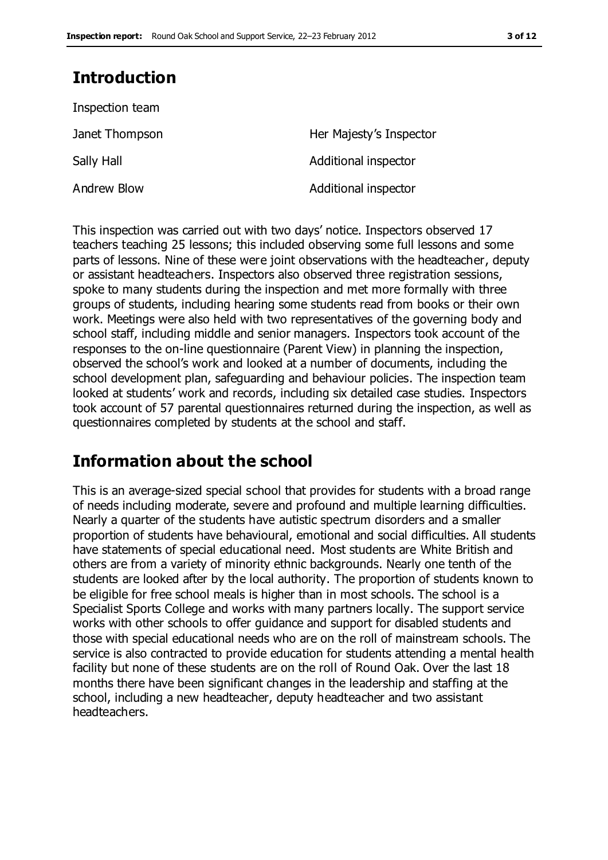# **Introduction**

| Inspection team |                         |
|-----------------|-------------------------|
| Janet Thompson  | Her Majesty's Inspector |
| Sally Hall      | Additional inspector    |
| Andrew Blow     | Additional inspector    |

This inspection was carried out with two days' notice. Inspectors observed 17 teachers teaching 25 lessons; this included observing some full lessons and some parts of lessons. Nine of these were joint observations with the headteacher, deputy or assistant headteachers. Inspectors also observed three registration sessions, spoke to many students during the inspection and met more formally with three groups of students, including hearing some students read from books or their own work. Meetings were also held with two representatives of the governing body and school staff, including middle and senior managers. Inspectors took account of the responses to the on-line questionnaire (Parent View) in planning the inspection, observed the school's work and looked at a number of documents, including the school development plan, safeguarding and behaviour policies. The inspection team looked at students' work and records, including six detailed case studies. Inspectors took account of 57 parental questionnaires returned during the inspection, as well as questionnaires completed by students at the school and staff.

# **Information about the school**

This is an average-sized special school that provides for students with a broad range of needs including moderate, severe and profound and multiple learning difficulties. Nearly a quarter of the students have autistic spectrum disorders and a smaller proportion of students have behavioural, emotional and social difficulties. All students have statements of special educational need. Most students are White British and others are from a variety of minority ethnic backgrounds. Nearly one tenth of the students are looked after by the local authority. The proportion of students known to be eligible for free school meals is higher than in most schools. The school is a Specialist Sports College and works with many partners locally. The support service works with other schools to offer guidance and support for disabled students and those with special educational needs who are on the roll of mainstream schools. The service is also contracted to provide education for students attending a mental health facility but none of these students are on the roll of Round Oak. Over the last 18 months there have been significant changes in the leadership and staffing at the school, including a new headteacher, deputy headteacher and two assistant headteachers.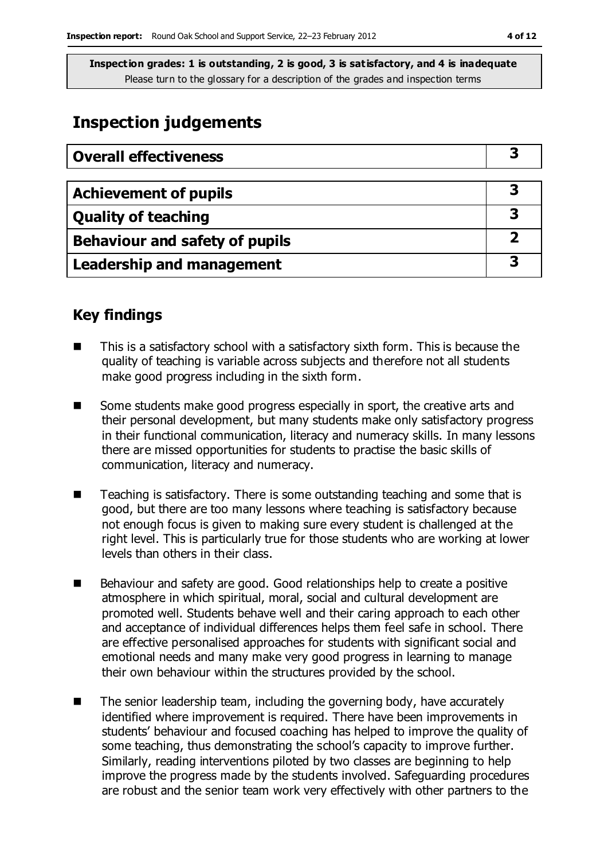## **Inspection judgements**

| <b>Overall effectiveness</b>     |  |
|----------------------------------|--|
|                                  |  |
| <b>Achievement of pupils</b>     |  |
| <b>Quality of teaching</b>       |  |
| Behaviour and safety of pupils   |  |
| <b>Leadership and management</b> |  |

#### **Key findings**

- This is a satisfactory school with a satisfactory sixth form. This is because the quality of teaching is variable across subjects and therefore not all students make good progress including in the sixth form.
- Some students make good progress especially in sport, the creative arts and their personal development, but many students make only satisfactory progress in their functional communication, literacy and numeracy skills. In many lessons there are missed opportunities for students to practise the basic skills of communication, literacy and numeracy.
- Teaching is satisfactory. There is some outstanding teaching and some that is good, but there are too many lessons where teaching is satisfactory because not enough focus is given to making sure every student is challenged at the right level. This is particularly true for those students who are working at lower levels than others in their class.
- Behaviour and safety are good. Good relationships help to create a positive atmosphere in which spiritual, moral, social and cultural development are promoted well. Students behave well and their caring approach to each other and acceptance of individual differences helps them feel safe in school. There are effective personalised approaches for students with significant social and emotional needs and many make very good progress in learning to manage their own behaviour within the structures provided by the school.
- The senior leadership team, including the governing body, have accurately identified where improvement is required. There have been improvements in students' behaviour and focused coaching has helped to improve the quality of some teaching, thus demonstrating the school's capacity to improve further. Similarly, reading interventions piloted by two classes are beginning to help improve the progress made by the students involved. Safeguarding procedures are robust and the senior team work very effectively with other partners to the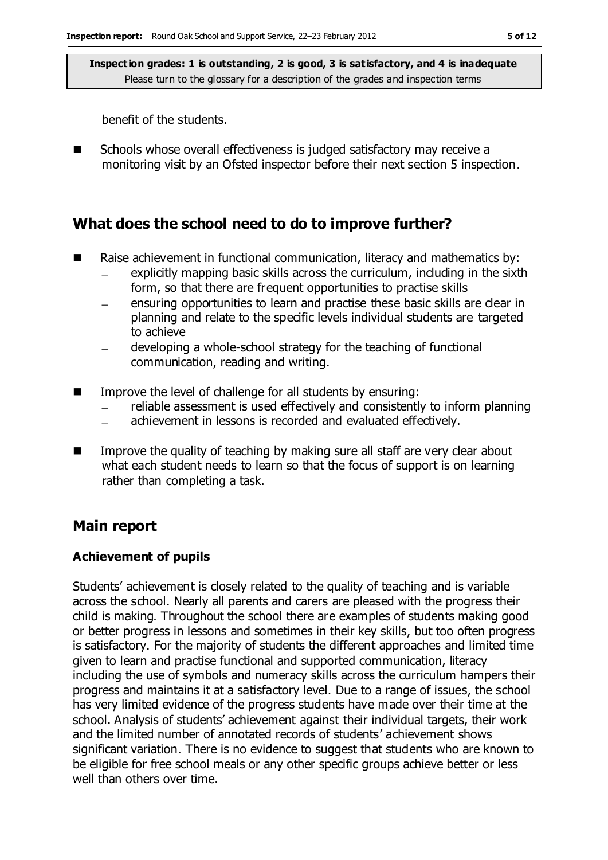benefit of the students.

■ Schools whose overall effectiveness is judged satisfactory may receive a monitoring visit by an Ofsted inspector before their next section 5 inspection.

### **What does the school need to do to improve further?**

- Raise achievement in functional communication, literacy and mathematics by:
	- explicitly mapping basic skills across the curriculum, including in the sixth form, so that there are frequent opportunities to practise skills
	- ensuring opportunities to learn and practise these basic skills are clear in planning and relate to the specific levels individual students are targeted to achieve
	- developing a whole-school strategy for the teaching of functional communication, reading and writing.
- Improve the level of challenge for all students by ensuring:
	- reliable assessment is used effectively and consistently to inform planning
	- achievement in lessons is recorded and evaluated effectively.  $\frac{1}{2}$
- **IM** Improve the quality of teaching by making sure all staff are very clear about what each student needs to learn so that the focus of support is on learning rather than completing a task.

#### **Main report**

#### **Achievement of pupils**

Students' achievement is closely related to the quality of teaching and is variable across the school. Nearly all parents and carers are pleased with the progress their child is making. Throughout the school there are examples of students making good or better progress in lessons and sometimes in their key skills, but too often progress is satisfactory. For the majority of students the different approaches and limited time given to learn and practise functional and supported communication, literacy including the use of symbols and numeracy skills across the curriculum hampers their progress and maintains it at a satisfactory level. Due to a range of issues, the school has very limited evidence of the progress students have made over their time at the school. Analysis of students' achievement against their individual targets, their work and the limited number of annotated records of students' achievement shows significant variation. There is no evidence to suggest that students who are known to be eligible for free school meals or any other specific groups achieve better or less well than others over time.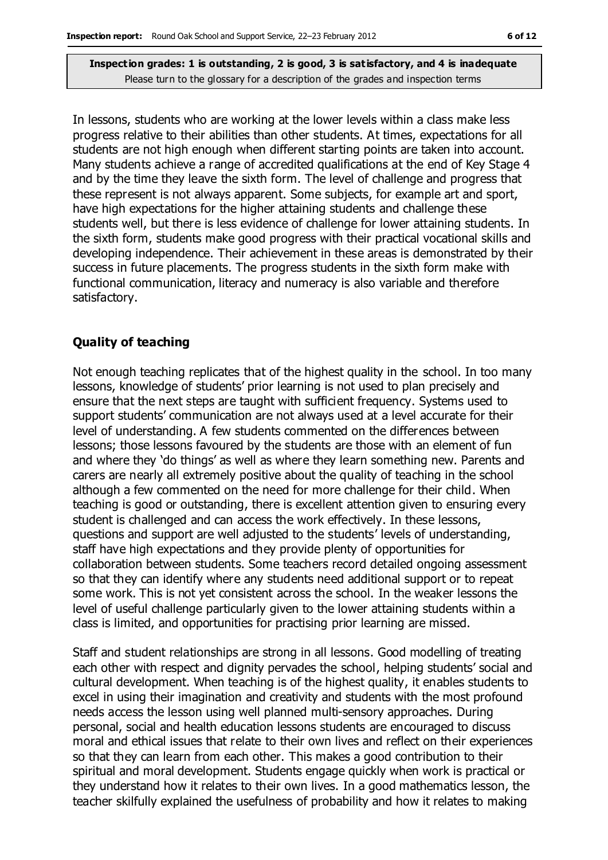In lessons, students who are working at the lower levels within a class make less progress relative to their abilities than other students. At times, expectations for all students are not high enough when different starting points are taken into account. Many students achieve a range of accredited qualifications at the end of Key Stage 4 and by the time they leave the sixth form. The level of challenge and progress that these represent is not always apparent. Some subjects, for example art and sport, have high expectations for the higher attaining students and challenge these students well, but there is less evidence of challenge for lower attaining students. In the sixth form, students make good progress with their practical vocational skills and developing independence. Their achievement in these areas is demonstrated by their success in future placements. The progress students in the sixth form make with functional communication, literacy and numeracy is also variable and therefore satisfactory.

#### **Quality of teaching**

Not enough teaching replicates that of the highest quality in the school. In too many lessons, knowledge of students' prior learning is not used to plan precisely and ensure that the next steps are taught with sufficient frequency. Systems used to support students' communication are not always used at a level accurate for their level of understanding. A few students commented on the differences between lessons; those lessons favoured by the students are those with an element of fun and where they 'do things' as well as where they learn something new. Parents and carers are nearly all extremely positive about the quality of teaching in the school although a few commented on the need for more challenge for their child. When teaching is good or outstanding, there is excellent attention given to ensuring every student is challenged and can access the work effectively. In these lessons, questions and support are well adjusted to the students' levels of understanding, staff have high expectations and they provide plenty of opportunities for collaboration between students. Some teachers record detailed ongoing assessment so that they can identify where any students need additional support or to repeat some work. This is not yet consistent across the school. In the weaker lessons the level of useful challenge particularly given to the lower attaining students within a class is limited, and opportunities for practising prior learning are missed.

Staff and student relationships are strong in all lessons. Good modelling of treating each other with respect and dignity pervades the school, helping students' social and cultural development. When teaching is of the highest quality, it enables students to excel in using their imagination and creativity and students with the most profound needs access the lesson using well planned multi-sensory approaches. During personal, social and health education lessons students are encouraged to discuss moral and ethical issues that relate to their own lives and reflect on their experiences so that they can learn from each other. This makes a good contribution to their spiritual and moral development. Students engage quickly when work is practical or they understand how it relates to their own lives. In a good mathematics lesson, the teacher skilfully explained the usefulness of probability and how it relates to making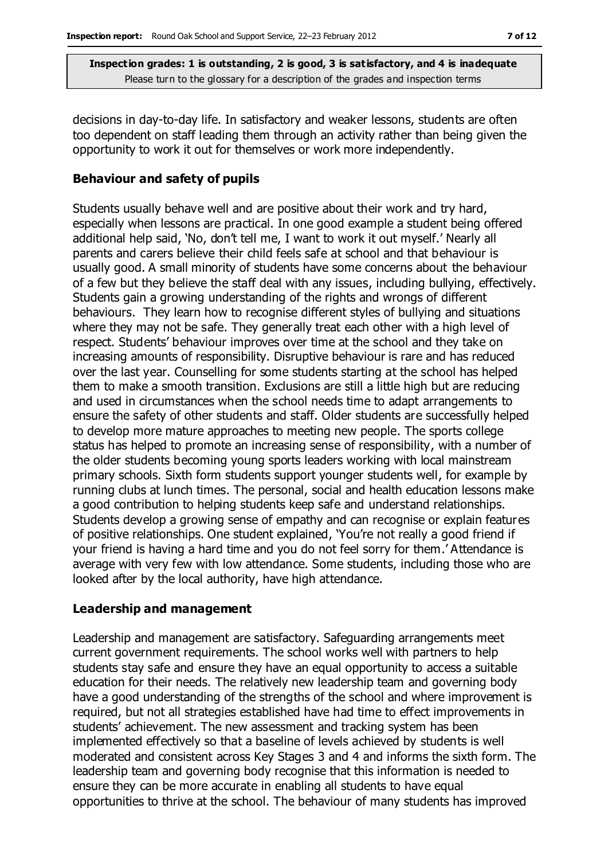decisions in day-to-day life. In satisfactory and weaker lessons, students are often too dependent on staff leading them through an activity rather than being given the opportunity to work it out for themselves or work more independently.

#### **Behaviour and safety of pupils**

Students usually behave well and are positive about their work and try hard, especially when lessons are practical. In one good example a student being offered additional help said, 'No, don't tell me, I want to work it out myself.' Nearly all parents and carers believe their child feels safe at school and that behaviour is usually good. A small minority of students have some concerns about the behaviour of a few but they believe the staff deal with any issues, including bullying, effectively. Students gain a growing understanding of the rights and wrongs of different behaviours. They learn how to recognise different styles of bullying and situations where they may not be safe. They generally treat each other with a high level of respect. Students' behaviour improves over time at the school and they take on increasing amounts of responsibility. Disruptive behaviour is rare and has reduced over the last year. Counselling for some students starting at the school has helped them to make a smooth transition. Exclusions are still a little high but are reducing and used in circumstances when the school needs time to adapt arrangements to ensure the safety of other students and staff. Older students are successfully helped to develop more mature approaches to meeting new people. The sports college status has helped to promote an increasing sense of responsibility, with a number of the older students becoming young sports leaders working with local mainstream primary schools. Sixth form students support younger students well, for example by running clubs at lunch times. The personal, social and health education lessons make a good contribution to helping students keep safe and understand relationships. Students develop a growing sense of empathy and can recognise or explain features of positive relationships. One student explained, 'You're not really a good friend if your friend is having a hard time and you do not feel sorry for them.' Attendance is average with very few with low attendance. Some students, including those who are looked after by the local authority, have high attendance.

#### **Leadership and management**

Leadership and management are satisfactory. Safeguarding arrangements meet current government requirements. The school works well with partners to help students stay safe and ensure they have an equal opportunity to access a suitable education for their needs. The relatively new leadership team and governing body have a good understanding of the strengths of the school and where improvement is required, but not all strategies established have had time to effect improvements in students' achievement. The new assessment and tracking system has been implemented effectively so that a baseline of levels achieved by students is well moderated and consistent across Key Stages 3 and 4 and informs the sixth form. The leadership team and governing body recognise that this information is needed to ensure they can be more accurate in enabling all students to have equal opportunities to thrive at the school. The behaviour of many students has improved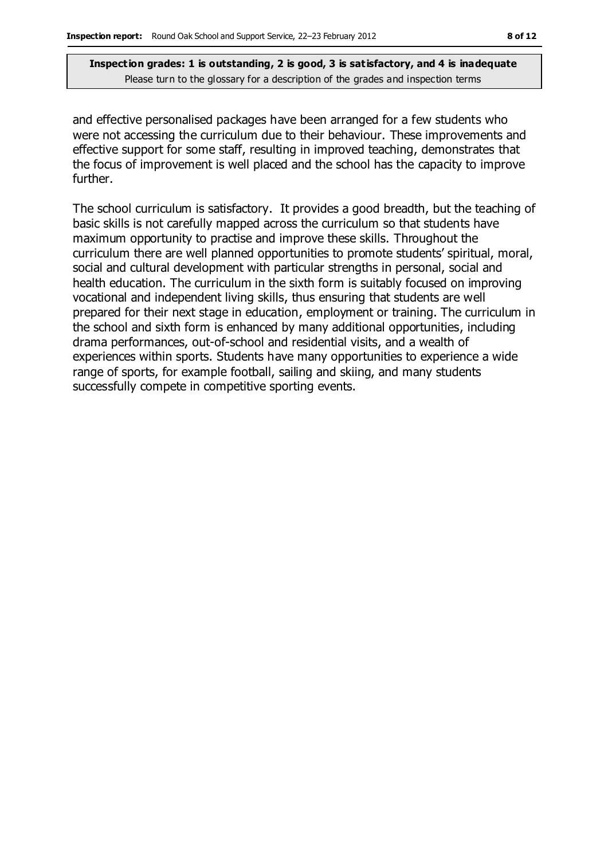and effective personalised packages have been arranged for a few students who were not accessing the curriculum due to their behaviour. These improvements and effective support for some staff, resulting in improved teaching, demonstrates that the focus of improvement is well placed and the school has the capacity to improve further.

The school curriculum is satisfactory. It provides a good breadth, but the teaching of basic skills is not carefully mapped across the curriculum so that students have maximum opportunity to practise and improve these skills. Throughout the curriculum there are well planned opportunities to promote students' spiritual, moral, social and cultural development with particular strengths in personal, social and health education. The curriculum in the sixth form is suitably focused on improving vocational and independent living skills, thus ensuring that students are well prepared for their next stage in education, employment or training. The curriculum in the school and sixth form is enhanced by many additional opportunities, including drama performances, out-of-school and residential visits, and a wealth of experiences within sports. Students have many opportunities to experience a wide range of sports, for example football, sailing and skiing, and many students successfully compete in competitive sporting events.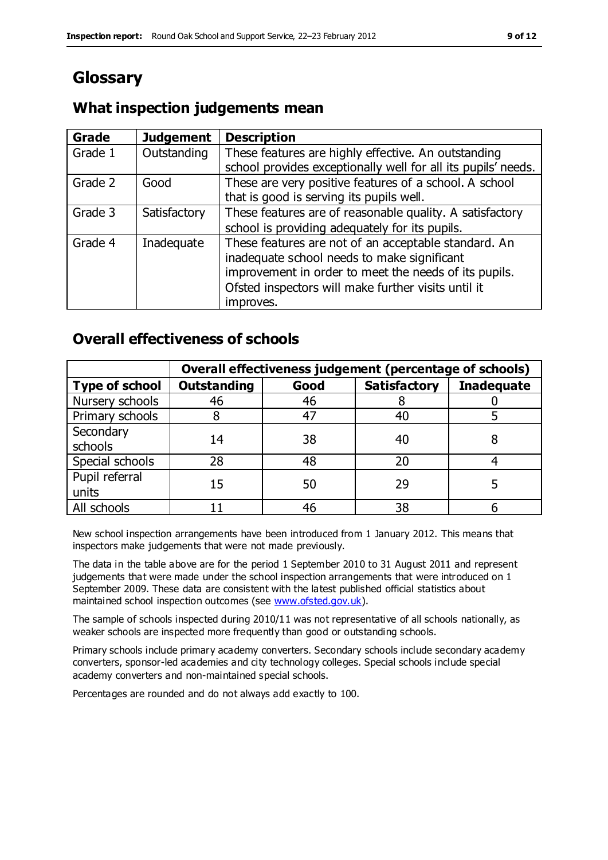# **Glossary**

### **What inspection judgements mean**

| Grade   | <b>Judgement</b> | <b>Description</b>                                                                                                                                                                                                               |
|---------|------------------|----------------------------------------------------------------------------------------------------------------------------------------------------------------------------------------------------------------------------------|
| Grade 1 | Outstanding      | These features are highly effective. An outstanding<br>school provides exceptionally well for all its pupils' needs.                                                                                                             |
| Grade 2 | Good             | These are very positive features of a school. A school<br>that is good is serving its pupils well.                                                                                                                               |
| Grade 3 | Satisfactory     | These features are of reasonable quality. A satisfactory<br>school is providing adequately for its pupils.                                                                                                                       |
| Grade 4 | Inadequate       | These features are not of an acceptable standard. An<br>inadequate school needs to make significant<br>improvement in order to meet the needs of its pupils.<br>Ofsted inspectors will make further visits until it<br>improves. |

#### **Overall effectiveness of schools**

|                         | Overall effectiveness judgement (percentage of schools) |      |                     |                   |
|-------------------------|---------------------------------------------------------|------|---------------------|-------------------|
| <b>Type of school</b>   | <b>Outstanding</b>                                      | Good | <b>Satisfactory</b> | <b>Inadequate</b> |
| Nursery schools         | 46                                                      | 46   |                     |                   |
| Primary schools         |                                                         | 47   | 40                  |                   |
| Secondary<br>schools    | 14                                                      | 38   | 40                  |                   |
| Special schools         | 28                                                      | 48   | 20                  |                   |
| Pupil referral<br>units | 15                                                      | 50   | 29                  |                   |
| All schools             |                                                         | 46   | 38                  |                   |

New school inspection arrangements have been introduced from 1 January 2012. This means that inspectors make judgements that were not made previously.

The data in the table above are for the period 1 September 2010 to 31 August 2011 and represent judgements that were made under the school inspection arrangements that were introduced on 1 September 2009. These data are consistent with the latest published official statistics about maintained school inspection outcomes (see [www.ofsted.gov.uk\)](http://www.ofsted.gov.uk/).

The sample of schools inspected during 2010/11 was not representative of all schools nationally, as weaker schools are inspected more frequently than good or outstanding schools.

Primary schools include primary academy converters. Secondary schools include secondary academy converters, sponsor-led academies and city technology colleges. Special schools include special academy converters and non-maintained special schools.

Percentages are rounded and do not always add exactly to 100.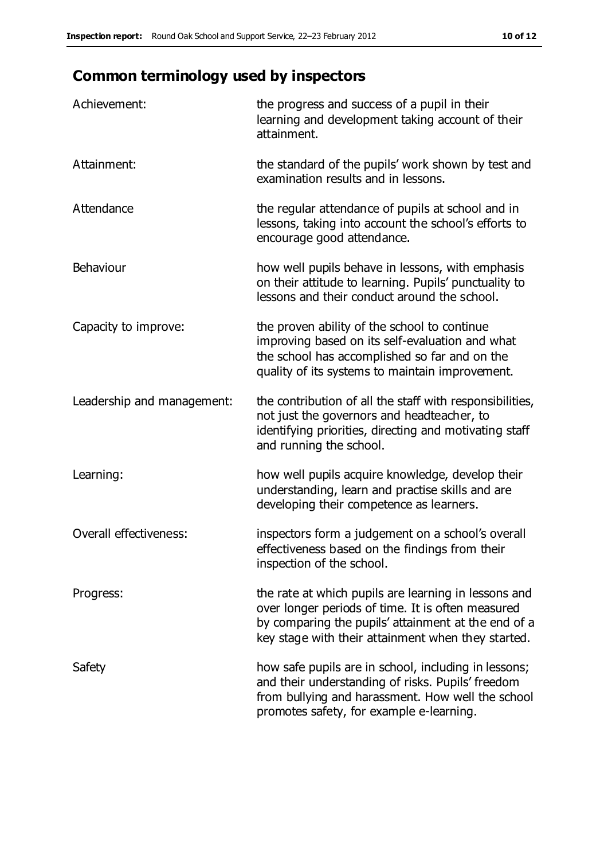# **Common terminology used by inspectors**

| Achievement:                  | the progress and success of a pupil in their<br>learning and development taking account of their<br>attainment.                                                                                                        |
|-------------------------------|------------------------------------------------------------------------------------------------------------------------------------------------------------------------------------------------------------------------|
| Attainment:                   | the standard of the pupils' work shown by test and<br>examination results and in lessons.                                                                                                                              |
| Attendance                    | the regular attendance of pupils at school and in<br>lessons, taking into account the school's efforts to<br>encourage good attendance.                                                                                |
| Behaviour                     | how well pupils behave in lessons, with emphasis<br>on their attitude to learning. Pupils' punctuality to<br>lessons and their conduct around the school.                                                              |
| Capacity to improve:          | the proven ability of the school to continue<br>improving based on its self-evaluation and what<br>the school has accomplished so far and on the<br>quality of its systems to maintain improvement.                    |
| Leadership and management:    | the contribution of all the staff with responsibilities,<br>not just the governors and headteacher, to<br>identifying priorities, directing and motivating staff<br>and running the school.                            |
| Learning:                     | how well pupils acquire knowledge, develop their<br>understanding, learn and practise skills and are<br>developing their competence as learners.                                                                       |
| <b>Overall effectiveness:</b> | inspectors form a judgement on a school's overall<br>effectiveness based on the findings from their<br>inspection of the school.                                                                                       |
| Progress:                     | the rate at which pupils are learning in lessons and<br>over longer periods of time. It is often measured<br>by comparing the pupils' attainment at the end of a<br>key stage with their attainment when they started. |
| Safety                        | how safe pupils are in school, including in lessons;<br>and their understanding of risks. Pupils' freedom<br>from bullying and harassment. How well the school<br>promotes safety, for example e-learning.             |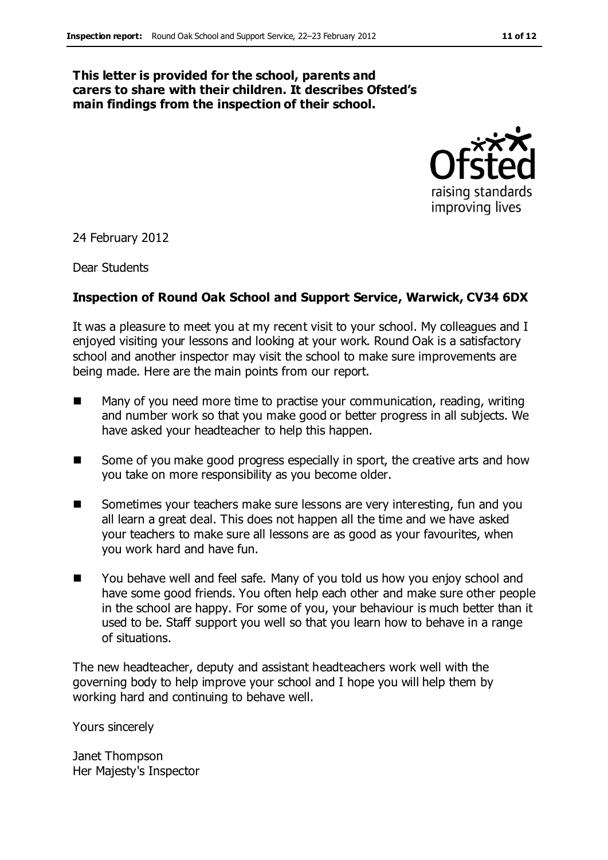#### **This letter is provided for the school, parents and carers to share with their children. It describes Ofsted's main findings from the inspection of their school.**



24 February 2012

Dear Students

#### **Inspection of Round Oak School and Support Service, Warwick, CV34 6DX**

It was a pleasure to meet you at my recent visit to your school. My colleagues and I enjoyed visiting your lessons and looking at your work. Round Oak is a satisfactory school and another inspector may visit the school to make sure improvements are being made. Here are the main points from our report.

- Many of you need more time to practise your communication, reading, writing and number work so that you make good or better progress in all subjects. We have asked your headteacher to help this happen.
- Some of you make good progress especially in sport, the creative arts and how you take on more responsibility as you become older.
- Sometimes your teachers make sure lessons are very interesting, fun and you all learn a great deal. This does not happen all the time and we have asked your teachers to make sure all lessons are as good as your favourites, when you work hard and have fun.
- You behave well and feel safe. Many of you told us how you enjoy school and have some good friends. You often help each other and make sure other people in the school are happy. For some of you, your behaviour is much better than it used to be. Staff support you well so that you learn how to behave in a range of situations.

The new headteacher, deputy and assistant headteachers work well with the governing body to help improve your school and I hope you will help them by working hard and continuing to behave well.

Yours sincerely

Janet Thompson Her Majesty's Inspector